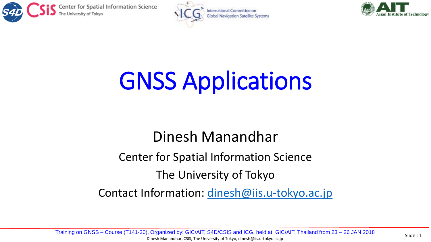





## GNSS Applications

## Dinesh Manandhar

Center for Spatial Information Science

The University of Tokyo

Contact Information: [dinesh@iis.u-tokyo.ac.jp](mailto:dinesh@iis.u-Tokyo.ac.jp)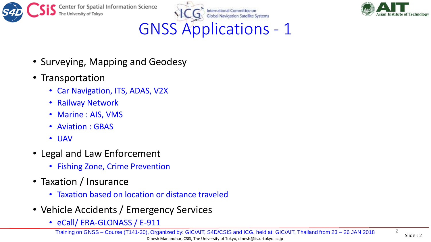







- Surveying, Mapping and Geodesy
- Transportation
	- Car Navigation, ITS, ADAS, V2X
	- Railway Network
	- Marine : AIS, VMS
	- Aviation : GBAS
	- UAV
- Legal and Law Enforcement
	- Fishing Zone, Crime Prevention
- Taxation / Insurance
	- Taxation based on location or distance traveled
- Vehicle Accidents / Emergency Services
	- eCall/ ERA-GLONASS / E-911

2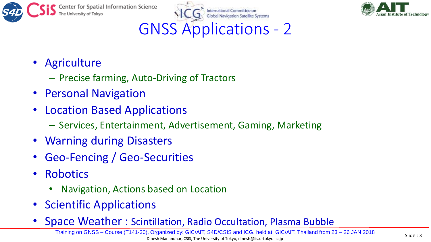





## GNSS Applications - 2

- Agriculture
	- Precise farming, Auto-Driving of Tractors
- Personal Navigation
- Location Based Applications
	- Services, Entertainment, Advertisement, Gaming, Marketing
- Warning during Disasters
- Geo-Fencing / Geo-Securities
- Robotics
	- Navigation, Actions based on Location
- Scientific Applications
- Space Weather : Scintillation, Radio Occultation, Plasma Bubble